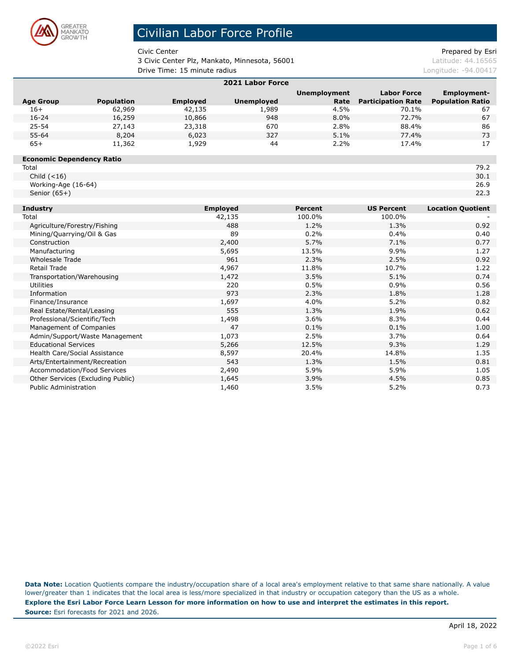

3 Civic Center Plz, Mankato, Minnesota, 56001 diamondus de la catitude: 44.16565

Civic Center **Prepared by Esri** Prepared by Esri

**Drive Time: 15 minute radius Longitude: -94.00417 Longitude: -94.00417** 

| 2021 Labor Force                        |                   |                 |                   |                          |                           |                          |  |
|-----------------------------------------|-------------------|-----------------|-------------------|--------------------------|---------------------------|--------------------------|--|
|                                         |                   |                 |                   | <b>Unemployment</b>      | <b>Labor Force</b>        | <b>Employment-</b>       |  |
| <b>Age Group</b>                        | <b>Population</b> | <b>Employed</b> | <b>Unemployed</b> | Rate                     | <b>Participation Rate</b> | <b>Population Ratio</b>  |  |
| $16+$                                   | 62,969            | 42,135          | 1,989             | 4.5%                     | 70.1%                     | 67                       |  |
| $16 - 24$                               | 16,259            | 10,866          | 948               | 8.0%                     | 72.7%                     | 67                       |  |
| $25 - 54$                               | 27,143            | 23,318          | 670               | 2.8%                     | 88.4%                     | 86                       |  |
| 55-64                                   | 8,204             | 6,023           | 327               | 5.1%                     | 77.4%                     | 73                       |  |
| $65+$                                   | 11,362            | 1,929           | 44                | 2.2%                     | 17.4%                     | 17                       |  |
| <b>Economic Dependency Ratio</b>        |                   |                 |                   |                          |                           |                          |  |
| Total                                   |                   |                 |                   |                          |                           | 79.2                     |  |
| Child $(<16)$                           |                   |                 |                   |                          |                           | 30.1                     |  |
| Working-Age (16-64)                     |                   |                 |                   |                          |                           | 26.9                     |  |
| Senior $(65+)$                          |                   |                 |                   |                          |                           | 22.3                     |  |
|                                         |                   |                 |                   |                          |                           |                          |  |
| <b>Industry</b>                         |                   | <b>Employed</b> |                   | <b>Percent</b><br>100.0% | <b>US Percent</b>         | <b>Location Quotient</b> |  |
| Total                                   |                   |                 | 42,135            |                          | 100.0%                    |                          |  |
| Agriculture/Forestry/Fishing            |                   |                 | 488<br>89         |                          | 1.3%                      | 0.92                     |  |
| Mining/Quarrying/Oil & Gas              |                   |                 | 2,400             |                          | 0.4%                      | 0.40                     |  |
| Construction                            |                   |                 |                   | 5.7%                     | 7.1%                      | 0.77                     |  |
| Manufacturing<br><b>Wholesale Trade</b> |                   |                 | 5,695<br>961      | 13.5%<br>2.3%            | 9.9%<br>2.5%              | 1.27<br>0.92             |  |
| <b>Retail Trade</b>                     |                   |                 |                   | 11.8%                    | 10.7%                     | 1.22                     |  |
| Transportation/Warehousing              |                   |                 | 4,967<br>1,472    |                          | 5.1%                      | 0.74                     |  |
| <b>Utilities</b>                        |                   |                 | 220               |                          | 0.9%                      | 0.56                     |  |
| Information                             |                   |                 | 973               | 0.5%<br>2.3%             | 1.8%                      | 1.28                     |  |
| Finance/Insurance                       |                   |                 |                   | 4.0%                     | 5.2%                      | 0.82                     |  |
| Real Estate/Rental/Leasing              |                   |                 | 1,697<br>555      |                          | 1.9%                      | 0.62                     |  |
| Professional/Scientific/Tech            |                   |                 | 1,498             |                          | 8.3%                      | 0.44                     |  |
| Management of Companies                 |                   |                 | 47                |                          | 0.1%                      | 1.00                     |  |
| Admin/Support/Waste Management          |                   |                 | 1,073             | 0.1%<br>2.5%             | 3.7%                      | 0.64                     |  |
| <b>Educational Services</b>             |                   |                 | 5,266             |                          | 9.3%                      | 1.29                     |  |
| Health Care/Social Assistance           |                   |                 | 8,597             |                          | 14.8%                     | 1.35                     |  |
| Arts/Entertainment/Recreation           |                   |                 | 543               |                          | 1.5%                      | 0.81                     |  |
| Accommodation/Food Services             |                   |                 | 2,490             | 1.3%<br>5.9%             | 5.9%                      | 1.05                     |  |
| Other Services (Excluding Public)       |                   |                 | 1,645             |                          | 4.5%                      | 0.85                     |  |

Public Administration **1,460** 3.5% 5.2% 5.2% 0.73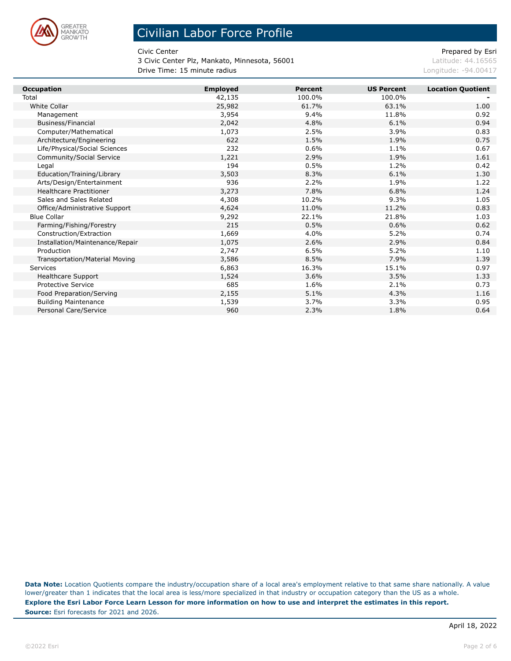

3 Civic Center Plz, Mankato, Minnesota, 56001 diamondus de la catitude: 44.16565 **Drive Time: 15 minute radius Longitude: -94.00417 Longitude: -94.00417** 

Civic Center **Prepared by Esri** Prepared by Esri

| <b>Occupation</b>                     | <b>Employed</b> | <b>Percent</b> | <b>US Percent</b> | <b>Location Quotient</b> |
|---------------------------------------|-----------------|----------------|-------------------|--------------------------|
| Total                                 | 42,135          | 100.0%         | 100.0%            |                          |
| White Collar                          | 25,982          | 61.7%          | 63.1%             | 1.00                     |
| Management                            | 3,954           | 9.4%           | 11.8%             | 0.92                     |
| Business/Financial                    | 2,042           | 4.8%           | 6.1%              | 0.94                     |
| Computer/Mathematical                 | 1,073           | 2.5%           | 3.9%              | 0.83                     |
| Architecture/Engineering              | 622             | 1.5%           | 1.9%              | 0.75                     |
| Life/Physical/Social Sciences         | 232             | 0.6%           | 1.1%              | 0.67                     |
| Community/Social Service              | 1,221           | 2.9%           | 1.9%              | 1.61                     |
| Legal                                 | 194             | 0.5%           | 1.2%              | 0.42                     |
| Education/Training/Library            | 3,503           | 8.3%           | 6.1%              | 1.30                     |
| Arts/Design/Entertainment             | 936             | 2.2%           | 1.9%              | 1.22                     |
| <b>Healthcare Practitioner</b>        | 3,273           | 7.8%           | 6.8%              | 1.24                     |
| Sales and Sales Related               | 4,308           | 10.2%          | 9.3%              | 1.05                     |
| Office/Administrative Support         | 4,624           | 11.0%          | 11.2%             | 0.83                     |
| <b>Blue Collar</b>                    | 9,292           | 22.1%          | 21.8%             | 1.03                     |
| Farming/Fishing/Forestry              | 215             | 0.5%           | 0.6%              | 0.62                     |
| Construction/Extraction               | 1,669           | 4.0%           | 5.2%              | 0.74                     |
| Installation/Maintenance/Repair       | 1,075           | 2.6%           | 2.9%              | 0.84                     |
| Production                            | 2,747           | 6.5%           | 5.2%              | 1.10                     |
| <b>Transportation/Material Moving</b> | 3,586           | 8.5%           | 7.9%              | 1.39                     |
| Services                              | 6,863           | 16.3%          | 15.1%             | 0.97                     |
| <b>Healthcare Support</b>             | 1,524           | 3.6%           | 3.5%              | 1.33                     |
| <b>Protective Service</b>             | 685             | 1.6%           | 2.1%              | 0.73                     |
| Food Preparation/Serving              | 2,155           | 5.1%           | 4.3%              | 1.16                     |
| <b>Building Maintenance</b>           | 1,539           | 3.7%           | 3.3%              | 0.95                     |
| Personal Care/Service                 | 960             | 2.3%           | 1.8%              | 0.64                     |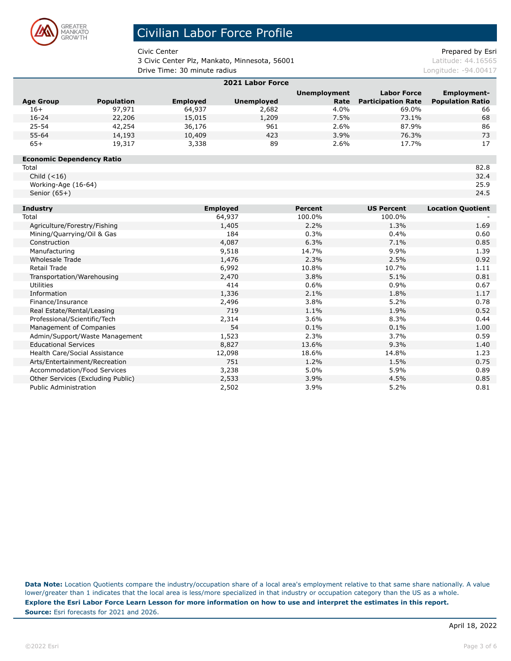

Г

# Civilian Labor Force Profile

3 Civic Center Plz, Mankato, Minnesota, 56001 diamondus de la catitude: 44.16565 **Drive Time: 30 minute radius Longitude: -94.00417 Longitude: -94.00417** 

Civic Center **Prepared by Esri** Prepared by Esri

| 2021 Labor Force                  |                   |                 |                       |                     |                           |                          |  |
|-----------------------------------|-------------------|-----------------|-----------------------|---------------------|---------------------------|--------------------------|--|
|                                   |                   |                 |                       | <b>Unemployment</b> | <b>Labor Force</b>        | <b>Employment-</b>       |  |
| <b>Age Group</b>                  | <b>Population</b> | <b>Employed</b> | <b>Unemployed</b>     | Rate                | <b>Participation Rate</b> | <b>Population Ratio</b>  |  |
| $16+$                             | 97,971            | 64,937          | 2,682                 | 4.0%                | 69.0%                     | 66                       |  |
| $16 - 24$                         | 22,206            | 15,015          | 1,209                 | 7.5%                | 73.1%                     | 68                       |  |
| $25 - 54$                         | 42,254            | 36,176          | 961                   | 2.6%                | 87.9%                     | 86                       |  |
| $55 - 64$                         | 14,193            | 10,409          | 423                   | 3.9%                | 76.3%                     | 73                       |  |
| $65+$                             | 19,317            | 3,338           | 89                    | 2.6%                | 17.7%                     | 17                       |  |
| <b>Economic Dependency Ratio</b>  |                   |                 |                       |                     |                           |                          |  |
| Total                             |                   |                 |                       |                     |                           | 82.8                     |  |
| Child $(<16)$                     |                   |                 |                       |                     |                           | 32.4                     |  |
| Working-Age (16-64)               |                   |                 |                       |                     |                           | 25.9                     |  |
| Senior $(65+)$                    |                   |                 |                       |                     |                           | 24.5                     |  |
| <b>Industry</b>                   |                   |                 | <b>Employed</b>       | <b>Percent</b>      | <b>US Percent</b>         | <b>Location Quotient</b> |  |
| Total                             |                   |                 | 64,937                | 100.0%              | 100.0%                    |                          |  |
| Agriculture/Forestry/Fishing      |                   |                 | 1,405                 |                     | 1.3%                      | 1.69                     |  |
| Mining/Quarrying/Oil & Gas        |                   |                 | 184                   | 0.3%                | 0.4%                      | 0.60                     |  |
| Construction                      |                   |                 | 4,087<br>6.3%<br>7.1% |                     |                           | 0.85                     |  |
| Manufacturing                     |                   |                 | 9,518                 | 14.7%               | 9.9%                      | 1.39                     |  |
| Wholesale Trade                   |                   |                 | 1,476                 | 2.3%                | 2.5%                      | 0.92                     |  |
| <b>Retail Trade</b>               |                   |                 | 6,992                 | 10.8%               | 10.7%                     | 1.11                     |  |
| Transportation/Warehousing        |                   |                 | 2,470                 | 3.8%                | 5.1%                      | 0.81                     |  |
| Utilities                         |                   |                 | 414                   | 0.6%                | 0.9%                      | 0.67                     |  |
| Information                       |                   |                 | 1,336                 | 2.1%                | 1.8%                      | 1.17                     |  |
| Finance/Insurance                 |                   |                 | 2,496                 | 3.8%                | 5.2%                      | 0.78                     |  |
| Real Estate/Rental/Leasing        |                   |                 | 719                   | 1.1%                | 1.9%                      | 0.52                     |  |
| Professional/Scientific/Tech      |                   |                 | 2,314                 | 3.6%                | 8.3%                      | 0.44                     |  |
| Management of Companies           |                   |                 | 54                    | 0.1%                | 0.1%                      | 1.00                     |  |
| Admin/Support/Waste Management    |                   |                 | 1,523                 | 2.3%                | 3.7%                      | 0.59                     |  |
| <b>Educational Services</b>       |                   |                 | 8,827                 | 13.6%               | 9.3%                      | 1.40                     |  |
| Health Care/Social Assistance     |                   |                 | 12,098                | 18.6%               | 14.8%                     | 1.23                     |  |
| Arts/Entertainment/Recreation     |                   |                 | 751                   | 1.2%                | 1.5%                      | 0.75                     |  |
| Accommodation/Food Services       |                   |                 | 3,238                 | 5.0%                | 5.9%                      | 0.89                     |  |
| Other Services (Excluding Public) |                   |                 | 2,533                 | 3.9%                | 4.5%                      | 0.85                     |  |
| <b>Public Administration</b>      |                   |                 | 2,502                 | 3.9%                | 5.2%                      | 0.81                     |  |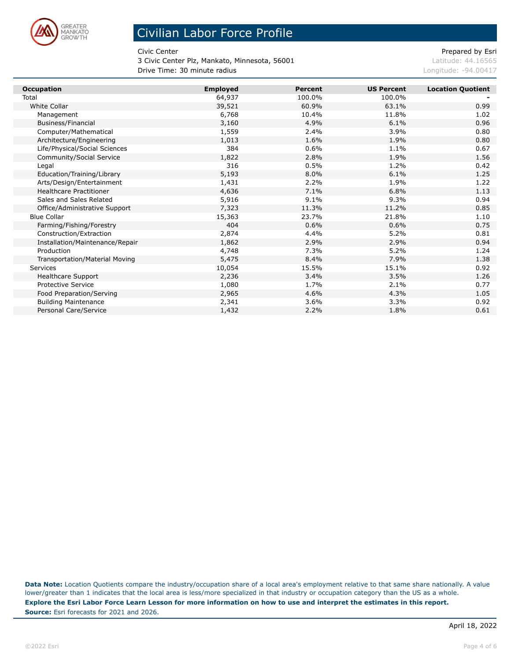

3 Civic Center Plz, Mankato, Minnesota, 56001 diamondus de la catitude: 44.16565 **Drive Time: 30 minute radius Longitude: -94.00417 Longitude: -94.00417** 

Civic Center **Prepared by Esri** Prepared by Esri

| <b>Occupation</b>                     | <b>Employed</b> | <b>Percent</b> | <b>US Percent</b> | <b>Location Quotient</b> |
|---------------------------------------|-----------------|----------------|-------------------|--------------------------|
| Total                                 | 64,937          | 100.0%         | 100.0%            |                          |
| White Collar                          | 39,521          | 60.9%          | 63.1%             | 0.99                     |
| Management                            | 6,768           | 10.4%          | 11.8%             | 1.02                     |
| Business/Financial                    | 3,160           | 4.9%           | 6.1%              | 0.96                     |
| Computer/Mathematical                 | 1,559           | 2.4%           | 3.9%              | 0.80                     |
| Architecture/Engineering              | 1,013           | 1.6%           | 1.9%              | 0.80                     |
| Life/Physical/Social Sciences         | 384             | 0.6%           | 1.1%              | 0.67                     |
| Community/Social Service              | 1,822           | 2.8%           | 1.9%              | 1.56                     |
| Legal                                 | 316             | 0.5%           | 1.2%              | 0.42                     |
| Education/Training/Library            | 5,193           | 8.0%           | 6.1%              | 1.25                     |
| Arts/Design/Entertainment             | 1,431           | 2.2%           | 1.9%              | 1.22                     |
| <b>Healthcare Practitioner</b>        | 4,636           | 7.1%           | 6.8%              | 1.13                     |
| Sales and Sales Related               | 5,916           | 9.1%           | 9.3%              | 0.94                     |
| Office/Administrative Support         | 7,323           | 11.3%          | 11.2%             | 0.85                     |
| <b>Blue Collar</b>                    | 15,363          | 23.7%          | 21.8%             | 1.10                     |
| Farming/Fishing/Forestry              | 404             | 0.6%           | 0.6%              | 0.75                     |
| Construction/Extraction               | 2,874           | 4.4%           | 5.2%              | 0.81                     |
| Installation/Maintenance/Repair       | 1,862           | 2.9%           | 2.9%              | 0.94                     |
| Production                            | 4,748           | 7.3%           | 5.2%              | 1.24                     |
| <b>Transportation/Material Moving</b> | 5,475           | 8.4%           | 7.9%              | 1.38                     |
| Services                              | 10,054          | 15.5%          | 15.1%             | 0.92                     |
| <b>Healthcare Support</b>             | 2,236           | 3.4%           | 3.5%              | 1.26                     |
| <b>Protective Service</b>             | 1,080           | 1.7%           | 2.1%              | 0.77                     |
| Food Preparation/Serving              | 2,965           | 4.6%           | 4.3%              | 1.05                     |
| <b>Building Maintenance</b>           | 2,341           | 3.6%           | 3.3%              | 0.92                     |
| Personal Care/Service                 | 1,432           | 2.2%           | 1.8%              | 0.61                     |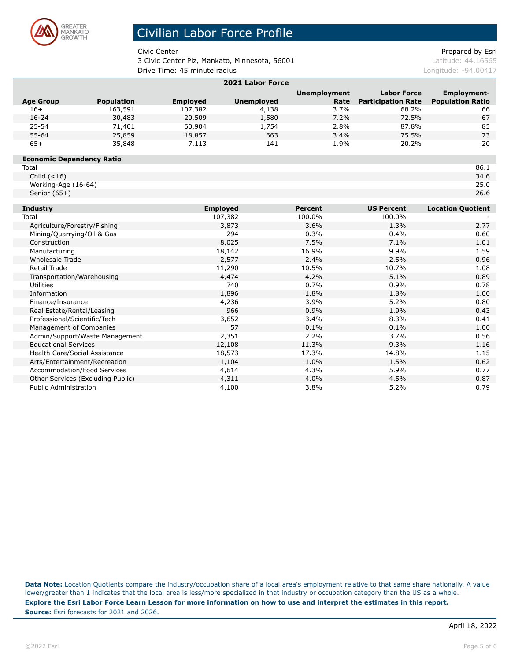

Г

# Civilian Labor Force Profile

3 Civic Center Plz, Mankato, Minnesota, 56001 diamondus de la catitude: 44.16565 **Drive Time: 45 minute radius Longitude: -94.00417 Longitude: -94.00417** 

Civic Center **Prepared by Esri** Prepared by Esri

| 2021 Labor Force                  |                   |                 |                     |                |                           |                          |  |
|-----------------------------------|-------------------|-----------------|---------------------|----------------|---------------------------|--------------------------|--|
|                                   |                   |                 | <b>Unemployment</b> |                | <b>Labor Force</b>        | <b>Employment-</b>       |  |
| <b>Age Group</b>                  | <b>Population</b> | <b>Employed</b> | <b>Unemployed</b>   | Rate           | <b>Participation Rate</b> | <b>Population Ratio</b>  |  |
| $16+$                             | 163,591           | 107,382         | 4,138               | 3.7%           | 68.2%                     | 66                       |  |
| $16 - 24$                         | 30,483            | 20,509          | 1,580               | 7.2%           | 72.5%                     | 67                       |  |
| $25 - 54$                         | 71,401            | 60,904          | 1,754               | 2.8%           | 87.8%                     | 85                       |  |
| $55 - 64$                         | 25,859            | 18,857          | 663                 | 3.4%           | 75.5%                     | 73                       |  |
| $65+$                             | 35,848            | 7,113           | 141                 | 1.9%           | 20.2%                     | 20                       |  |
| <b>Economic Dependency Ratio</b>  |                   |                 |                     |                |                           |                          |  |
| Total                             |                   |                 |                     |                |                           | 86.1                     |  |
| Child $(<16)$                     |                   |                 |                     |                |                           | 34.6                     |  |
| Working-Age (16-64)               |                   |                 |                     |                |                           | 25.0                     |  |
| Senior $(65+)$                    |                   |                 |                     |                |                           | 26.6                     |  |
| <b>Industry</b>                   |                   |                 | <b>Employed</b>     | <b>Percent</b> | <b>US Percent</b>         | <b>Location Quotient</b> |  |
| Total                             |                   |                 | 107,382             | 100.0%         | 100.0%                    |                          |  |
| Agriculture/Forestry/Fishing      |                   |                 | 3,873               |                | 1.3%                      | 2.77                     |  |
| Mining/Quarrying/Oil & Gas        |                   |                 | 294                 |                | 0.4%                      | 0.60                     |  |
| Construction                      |                   |                 | 8,025               | 7.5%           | 7.1%                      | 1.01                     |  |
| Manufacturing                     |                   |                 | 18,142              | 16.9%          | 9.9%                      | 1.59                     |  |
| <b>Wholesale Trade</b>            |                   |                 | 2,577               | 2.4%           | 2.5%                      | 0.96                     |  |
| <b>Retail Trade</b>               |                   |                 | 11,290              | 10.5%          | 10.7%                     | 1.08                     |  |
| Transportation/Warehousing        |                   |                 | 4,474               | 4.2%           | 5.1%                      | 0.89                     |  |
| <b>Utilities</b>                  |                   |                 | 740                 | 0.7%           | 0.9%                      | 0.78                     |  |
| Information                       |                   |                 | 1,896               | 1.8%           | 1.8%                      | 1.00                     |  |
| Finance/Insurance                 |                   |                 | 4,236               | 3.9%           | 5.2%                      | 0.80                     |  |
| Real Estate/Rental/Leasing        |                   |                 | 966                 | 0.9%           | 1.9%                      | 0.43                     |  |
| Professional/Scientific/Tech      |                   |                 | 3,652               |                | 8.3%                      | 0.41                     |  |
| Management of Companies           |                   |                 | 57                  |                | 0.1%                      | 1.00                     |  |
| Admin/Support/Waste Management    |                   |                 | 2,351               |                | 3.7%                      | 0.56                     |  |
| <b>Educational Services</b>       |                   |                 | 12,108              |                | 9.3%                      | 1.16                     |  |
| Health Care/Social Assistance     |                   |                 | 18,573              |                | 14.8%                     | 1.15                     |  |
| Arts/Entertainment/Recreation     |                   |                 | 1,104               |                | 1.5%                      | 0.62                     |  |
| Accommodation/Food Services       |                   |                 | 4,614               | 4.3%           | 5.9%                      | 0.77                     |  |
| Other Services (Excluding Public) |                   |                 | 4,311               | 4.0%           | 4.5%                      | 0.87                     |  |
| <b>Public Administration</b>      |                   |                 | 4,100               |                | 5.2%                      | 0.79                     |  |